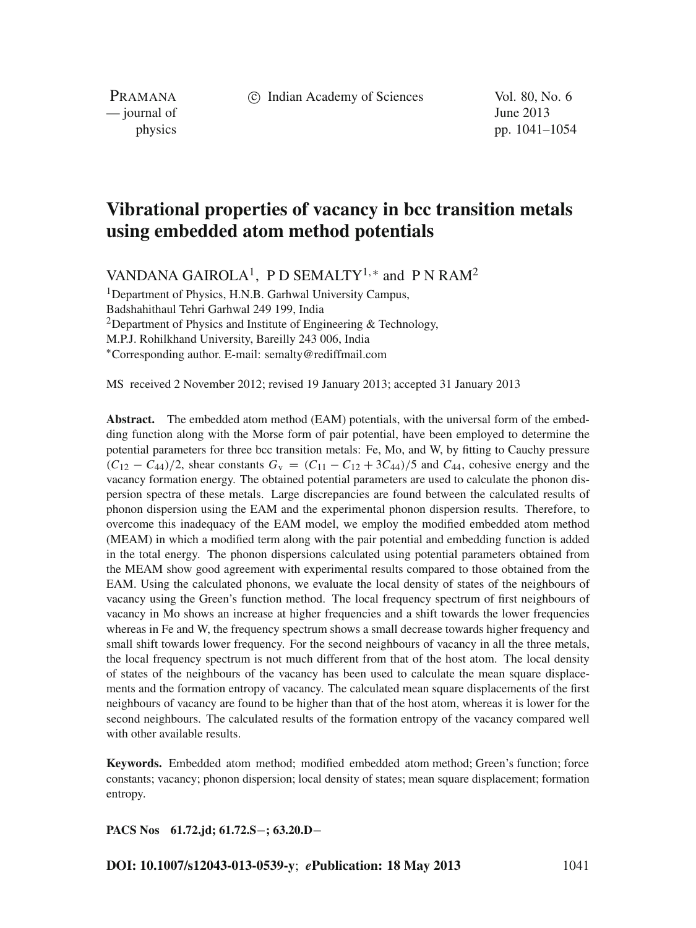c Indian Academy of Sciences Vol. 80, No. 6

PRAMANA — journal of June 2013

physics pp. 1041–1054

# **Vibrational properties of vacancy in bcc transition metals using embedded atom method potentials**

VANDANA GAIROLA<sup>1</sup>, P D SEMALTY<sup>1,\*</sup> and P N RAM<sup>2</sup>

<sup>1</sup>Department of Physics, H.N.B. Garhwal University Campus, Badshahithaul Tehri Garhwal 249 199, India <sup>2</sup>Department of Physics and Institute of Engineering & Technology, M.P.J. Rohilkhand University, Bareilly 243 006, India <sup>∗</sup>Corresponding author. E-mail: semalty@rediffmail.com

MS received 2 November 2012; revised 19 January 2013; accepted 31 January 2013

**Abstract.** The embedded atom method (EAM) potentials, with the universal form of the embedding function along with the Morse form of pair potential, have been employed to determine the potential parameters for three bcc transition metals: Fe, Mo, and W, by fitting to Cauchy pressure  $(C_{12} - C_{44})/2$ , shear constants  $G_v = (C_{11} - C_{12} + 3C_{44})/5$  and  $C_{44}$ , cohesive energy and the vacancy formation energy. The obtained potential parameters are used to calculate the phonon dispersion spectra of these metals. Large discrepancies are found between the calculated results of phonon dispersion using the EAM and the experimental phonon dispersion results. Therefore, to overcome this inadequacy of the EAM model, we employ the modified embedded atom method (MEAM) in which a modified term along with the pair potential and embedding function is added in the total energy. The phonon dispersions calculated using potential parameters obtained from the MEAM show good agreement with experimental results compared to those obtained from the EAM. Using the calculated phonons, we evaluate the local density of states of the neighbours of vacancy using the Green's function method. The local frequency spectrum of first neighbours of vacancy in Mo shows an increase at higher frequencies and a shift towards the lower frequencies whereas in Fe and W, the frequency spectrum shows a small decrease towards higher frequency and small shift towards lower frequency. For the second neighbours of vacancy in all the three metals, the local frequency spectrum is not much different from that of the host atom. The local density of states of the neighbours of the vacancy has been used to calculate the mean square displacements and the formation entropy of vacancy. The calculated mean square displacements of the first neighbours of vacancy are found to be higher than that of the host atom, whereas it is lower for the second neighbours. The calculated results of the formation entropy of the vacancy compared well with other available results.

**Keywords.** Embedded atom method; modified embedded atom method; Green's function; force constants; vacancy; phonon dispersion; local density of states; mean square displacement; formation entropy.

**PACS Nos 61.72.jd; 61.72.S**−**; 63.20.D**−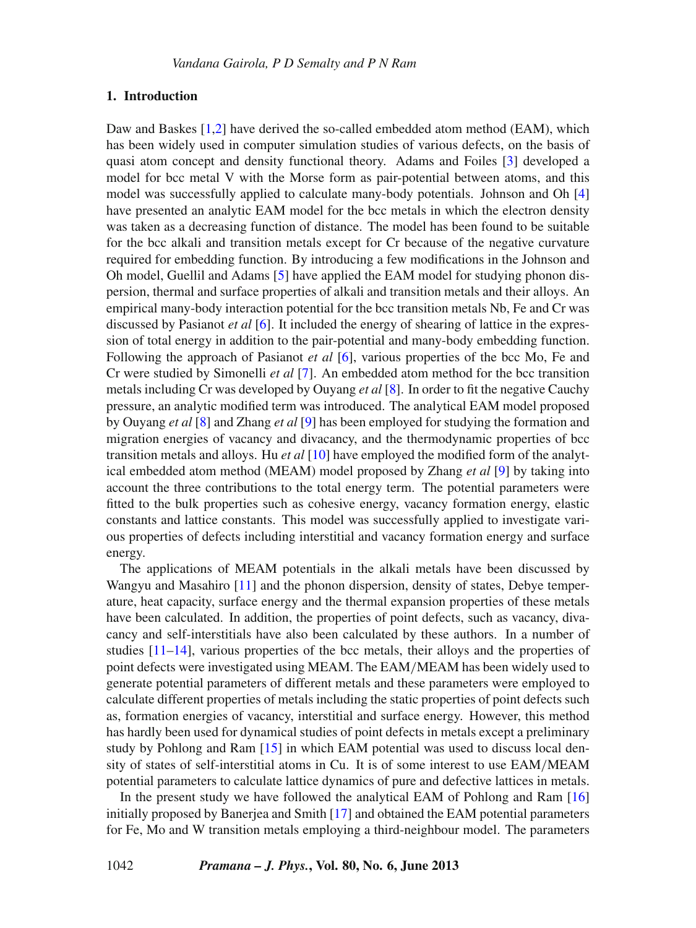## **1. Introduction**

Daw and Baskes [\[1](#page-13-0)[,2\]](#page-13-1) have derived the so-called embedded atom method (EAM), which has been widely used in computer simulation studies of various defects, on the basis of quasi atom concept and density functional theory. Adams and Foiles [\[3](#page-13-2)] developed a model for bcc metal V with the Morse form as pair-potential between atoms, and this model was successfully applied to calculate many-body potentials. Johnson and Oh [\[4\]](#page-13-3) have presented an analytic EAM model for the bcc metals in which the electron density was taken as a decreasing function of distance. The model has been found to be suitable for the bcc alkali and transition metals except for Cr because of the negative curvature required for embedding function. By introducing a few modifications in the Johnson and Oh model, Guellil and Adams [\[5\]](#page-13-4) have applied the EAM model for studying phonon dispersion, thermal and surface properties of alkali and transition metals and their alloys. An empirical many-body interaction potential for the bcc transition metals Nb, Fe and Cr was discussed by Pasianot *et al* [\[6](#page-13-5)]. It included the energy of shearing of lattice in the expression of total energy in addition to the pair-potential and many-body embedding function. Following the approach of Pasianot *et al* [\[6\]](#page-13-5), various properties of the bcc Mo, Fe and Cr were studied by Simonelli *et al* [\[7](#page-13-6)]. An embedded atom method for the bcc transition metals including Cr was developed by Ouyang *et al* [\[8](#page-13-7)]. In order to fit the negative Cauchy pressure, an analytic modified term was introduced. The analytical EAM model proposed by Ouyang *et al* [\[8](#page-13-7)] and Zhang *et al* [\[9\]](#page-13-8) has been employed for studying the formation and migration energies of vacancy and divacancy, and the thermodynamic properties of bcc transition metals and alloys. Hu *et al* [\[10\]](#page-13-9) have employed the modified form of the analytical embedded atom method (MEAM) model proposed by Zhang *et al* [\[9\]](#page-13-8) by taking into account the three contributions to the total energy term. The potential parameters were fitted to the bulk properties such as cohesive energy, vacancy formation energy, elastic constants and lattice constants. This model was successfully applied to investigate various properties of defects including interstitial and vacancy formation energy and surface energy.

The applications of MEAM potentials in the alkali metals have been discussed by Wangyu and Masahiro [\[11\]](#page-13-10) and the phonon dispersion, density of states, Debye temperature, heat capacity, surface energy and the thermal expansion properties of these metals have been calculated. In addition, the properties of point defects, such as vacancy, divacancy and self-interstitials have also been calculated by these authors. In a number of studies [\[11](#page-13-10)[–14](#page-13-11)], various properties of the bcc metals, their alloys and the properties of point defects were investigated using MEAM. The EAM/MEAM has been widely used to generate potential parameters of different metals and these parameters were employed to calculate different properties of metals including the static properties of point defects such as, formation energies of vacancy, interstitial and surface energy. However, this method has hardly been used for dynamical studies of point defects in metals except a preliminary study by Pohlong and Ram [\[15\]](#page-13-12) in which EAM potential was used to discuss local density of states of self-interstitial atoms in Cu. It is of some interest to use EAM/MEAM potential parameters to calculate lattice dynamics of pure and defective lattices in metals.

In the present study we have followed the analytical EAM of Pohlong and Ram [\[16\]](#page-13-13) initially proposed by Banerjea and Smith [\[17\]](#page-13-14) and obtained the EAM potential parameters for Fe, Mo and W transition metals employing a third-neighbour model. The parameters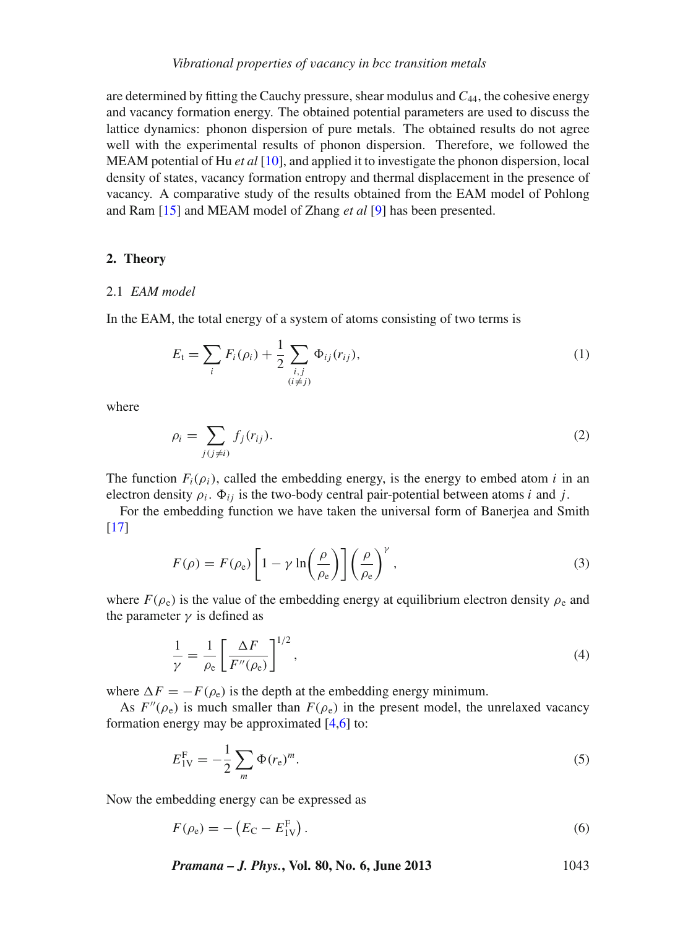are determined by fitting the Cauchy pressure, shear modulus and  $C_{44}$ , the cohesive energy and vacancy formation energy. The obtained potential parameters are used to discuss the lattice dynamics: phonon dispersion of pure metals. The obtained results do not agree well with the experimental results of phonon dispersion. Therefore, we followed the MEAM potential of Hu *et al* [\[10](#page-13-9)], and applied it to investigate the phonon dispersion, local density of states, vacancy formation entropy and thermal displacement in the presence of vacancy. A comparative study of the results obtained from the EAM model of Pohlong and Ram [\[15](#page-13-12)] and MEAM model of Zhang *et al* [\[9\]](#page-13-8) has been presented.

# **2. Theory**

## <span id="page-2-1"></span>2.1 *EAM model*

In the EAM, the total energy of a system of atoms consisting of two terms is

<span id="page-2-2"></span>
$$
E_{t} = \sum_{i} F_{i}(\rho_{i}) + \frac{1}{2} \sum_{\substack{i,j \\ (i \neq j)}} \Phi_{ij}(r_{ij}),
$$
\n(1)

where

$$
\rho_i = \sum_{j(j \neq i)} f_j(r_{ij}). \tag{2}
$$

The function  $F_i(\rho_i)$ , called the embedding energy, is the energy to embed atom *i* in an electron density  $\rho_i$ .  $\Phi_{ij}$  is the two-body central pair-potential between atoms *i* and *j*.

For the embedding function we have taken the universal form of Banerjea and Smith  $[17]$  $[17]$ 

$$
F(\rho) = F(\rho_e) \left[ 1 - \gamma \ln \left( \frac{\rho}{\rho_e} \right) \right] \left( \frac{\rho}{\rho_e} \right)^{\gamma}, \tag{3}
$$

where  $F(\rho_e)$  is the value of the embedding energy at equilibrium electron density  $\rho_e$  and the parameter  $\gamma$  is defined as

<span id="page-2-0"></span>
$$
\frac{1}{\gamma} = \frac{1}{\rho_e} \left[ \frac{\Delta F}{F''(\rho_e)} \right]^{1/2},\tag{4}
$$

where  $\Delta F = -F(\rho_e)$  is the depth at the embedding energy minimum.

As  $F''(\rho_e)$  is much smaller than  $F(\rho_e)$  in the present model, the unrelaxed vacancy formation energy may be approximated  $[4,6]$  $[4,6]$  to:

$$
E_{1V}^{F} = -\frac{1}{2} \sum_{m} \Phi(r_e)^m.
$$
 (5)

Now the embedding energy can be expressed as

$$
F(\rho_e) = -\left(E_C - E_{1V}^F\right). \tag{6}
$$

*Pramana – J. Phys.***, Vol. 80, No. 6, June 2013** 1043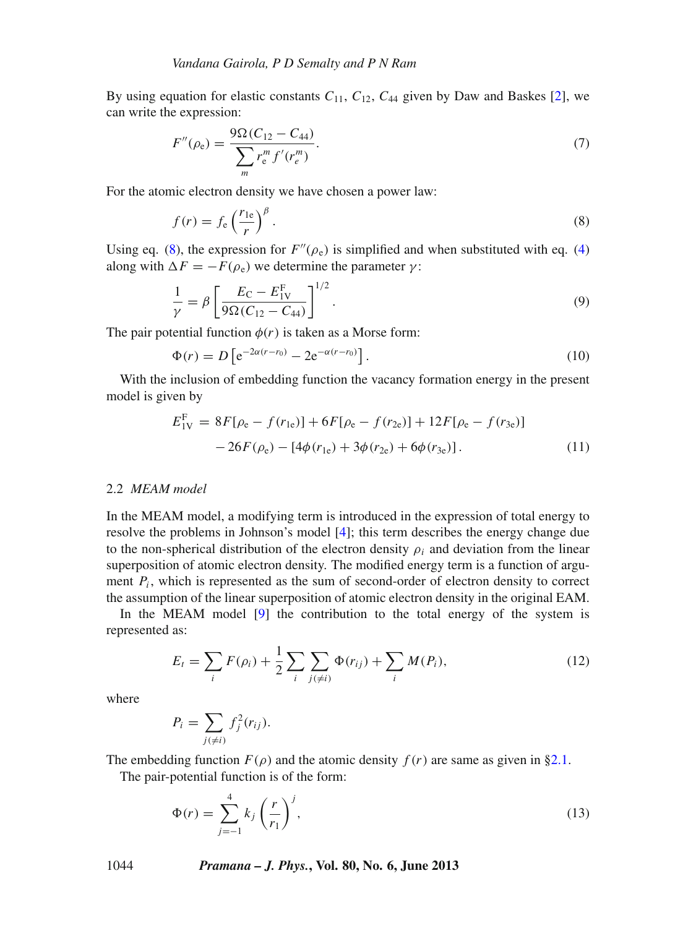By using equation for elastic constants  $C_{11}$ ,  $C_{12}$ ,  $C_{44}$  given by Daw and Baskes [\[2\]](#page-13-1), we can write the expression:

$$
F''(\rho_e) = \frac{9\Omega (C_{12} - C_{44})}{\sum_{m} r_e^m f'(r_e^m)}.
$$
\n(7)

For the atomic electron density we have chosen a power law:

<span id="page-3-0"></span>
$$
f(r) = f_{\rm e} \left(\frac{r_{\rm le}}{r}\right)^{\beta}.
$$
 (8)

Using eq. [\(8\)](#page-3-0), the expression for  $F''(\rho_e)$  is simplified and when substituted with eq. [\(4\)](#page-2-0) along with  $\Delta F = -F(\rho_e)$  we determine the parameter  $\gamma$ :

<span id="page-3-3"></span>
$$
\frac{1}{\gamma} = \beta \left[ \frac{E_{\rm C} - E_{\rm IV}^{\rm F}}{9\Omega (C_{12} - C_{44})} \right]^{1/2}.
$$
\n(9)

The pair potential function  $\phi(r)$  is taken as a Morse form:

$$
\Phi(r) = D \left[ e^{-2\alpha(r - r_0)} - 2e^{-\alpha(r - r_0)} \right]. \tag{10}
$$

With the inclusion of embedding function the vacancy formation energy in the present model is given by

<span id="page-3-1"></span>
$$
E_{1V}^{F} = 8F[\rho_{e} - f(r_{1e})] + 6F[\rho_{e} - f(r_{2e})] + 12F[\rho_{e} - f(r_{3e})]
$$

$$
-26F(\rho_{e}) - [4\phi(r_{1e}) + 3\phi(r_{2e}) + 6\phi(r_{3e})]. \tag{11}
$$

## <span id="page-3-4"></span>2.2 *MEAM model*

In the MEAM model, a modifying term is introduced in the expression of total energy to resolve the problems in Johnson's model [\[4\]](#page-13-3); this term describes the energy change due to the non-spherical distribution of the electron density  $\rho_i$  and deviation from the linear superposition of atomic electron density. The modified energy term is a function of argument  $P_i$ , which is represented as the sum of second-order of electron density to correct the assumption of the linear superposition of atomic electron density in the original EAM.

In the MEAM model [\[9](#page-13-8)] the contribution to the total energy of the system is represented as:

<span id="page-3-2"></span>
$$
E_t = \sum_i F(\rho_i) + \frac{1}{2} \sum_i \sum_{j(\neq i)} \Phi(r_{ij}) + \sum_i M(P_i), \tag{12}
$$

where

$$
P_i = \sum_{j(\neq i)} f_j^2(r_{ij}).
$$

The embedding function  $F(\rho)$  and the atomic density  $f(r)$  are same as given in [§2.1.](#page-2-1)

The pair-potential function is of the form:

$$
\Phi(r) = \sum_{j=-1}^{4} k_j \left(\frac{r}{r_1}\right)^j,\tag{13}
$$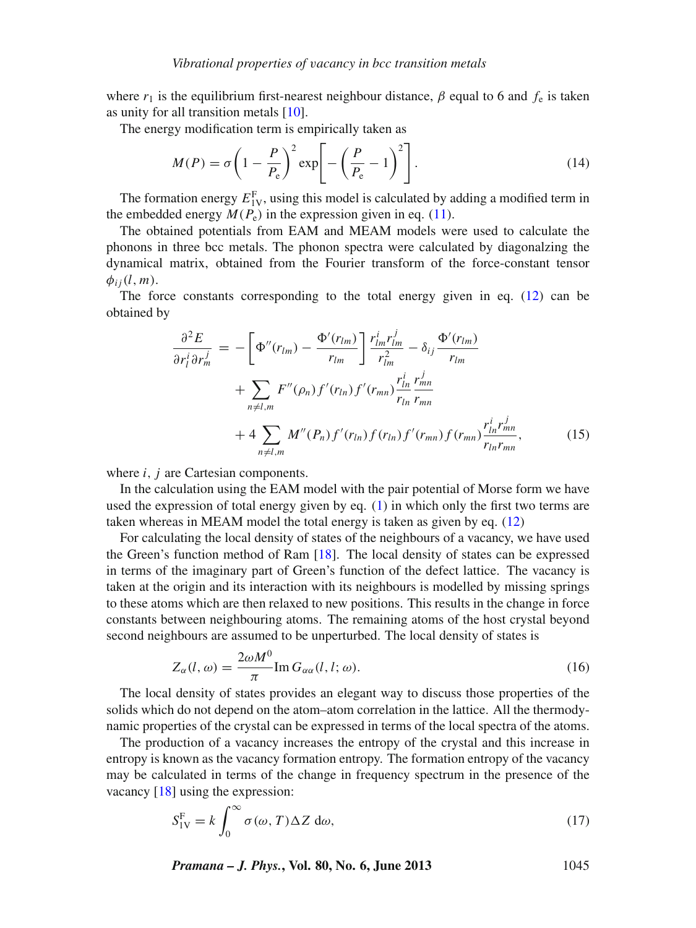where  $r_1$  is the equilibrium first-nearest neighbour distance,  $\beta$  equal to 6 and  $f_e$  is taken as unity for all transition metals [\[10](#page-13-9)].

The energy modification term is empirically taken as

$$
M(P) = \sigma \left( 1 - \frac{P}{P_e} \right)^2 \exp \left[ -\left( \frac{P}{P_e} - 1 \right)^2 \right].
$$
 (14)

The formation energy  $E_{1V}^{\text{F}}$ , using this model is calculated by adding a modified term in the embedded energy  $M(P_e)$  in the expression given in eq. [\(11\)](#page-3-1).

The obtained potentials from EAM and MEAM models were used to calculate the phonons in three bcc metals. The phonon spectra were calculated by diagonalzing the dynamical matrix, obtained from the Fourier transform of the force-constant tensor  $\phi_{ii}$  $(l, m)$ .

The force constants corresponding to the total energy given in eq. [\(12\)](#page-3-2) can be obtained by

$$
\frac{\partial^2 E}{\partial r_l^i \partial r_m^j} = -\left[\Phi''(r_{lm}) - \frac{\Phi'(r_{lm})}{r_{lm}}\right] \frac{r_{lm}^i r_{lm}^j}{r_{lm}^2} - \delta_{ij} \frac{\Phi'(r_{lm})}{r_{lm}}
$$

$$
+ \sum_{n \neq l,m} F''(\rho_n) f'(r_{ln}) f'(r_{mn}) \frac{r_{ln}^i r_{mn}^j}{r_{ln} r_{mn}}
$$

$$
+ 4 \sum_{n \neq l,m} M''(P_n) f'(r_{ln}) f(r_{ln}) f'(r_{mn}) f(r_{mn}) \frac{r_{ln}^i r_{mn}^j}{r_{ln} r_{mn}}, \qquad (15)
$$

where *i*, *j* are Cartesian components.

In the calculation using the EAM model with the pair potential of Morse form we have used the expression of total energy given by eq. [\(1\)](#page-2-2) in which only the first two terms are taken whereas in MEAM model the total energy is taken as given by eq. [\(12\)](#page-3-2)

For calculating the local density of states of the neighbours of a vacancy, we have used the Green's function method of Ram [\[18](#page-13-15)]. The local density of states can be expressed in terms of the imaginary part of Green's function of the defect lattice. The vacancy is taken at the origin and its interaction with its neighbours is modelled by missing springs to these atoms which are then relaxed to new positions. This results in the change in force constants between neighbouring atoms. The remaining atoms of the host crystal beyond second neighbours are assumed to be unperturbed. The local density of states is

$$
Z_{\alpha}(l,\omega) = \frac{2\omega M^0}{\pi} \text{Im} \, G_{\alpha\alpha}(l,l;\omega). \tag{16}
$$

The local density of states provides an elegant way to discuss those properties of the solids which do not depend on the atom–atom correlation in the lattice. All the thermodynamic properties of the crystal can be expressed in terms of the local spectra of the atoms.

The production of a vacancy increases the entropy of the crystal and this increase in entropy is known as the vacancy formation entropy. The formation entropy of the vacancy may be calculated in terms of the change in frequency spectrum in the presence of the vacancy [\[18\]](#page-13-15) using the expression:

$$
S_{1V}^{F} = k \int_{0}^{\infty} \sigma(\omega, T) \Delta Z \, d\omega, \tag{17}
$$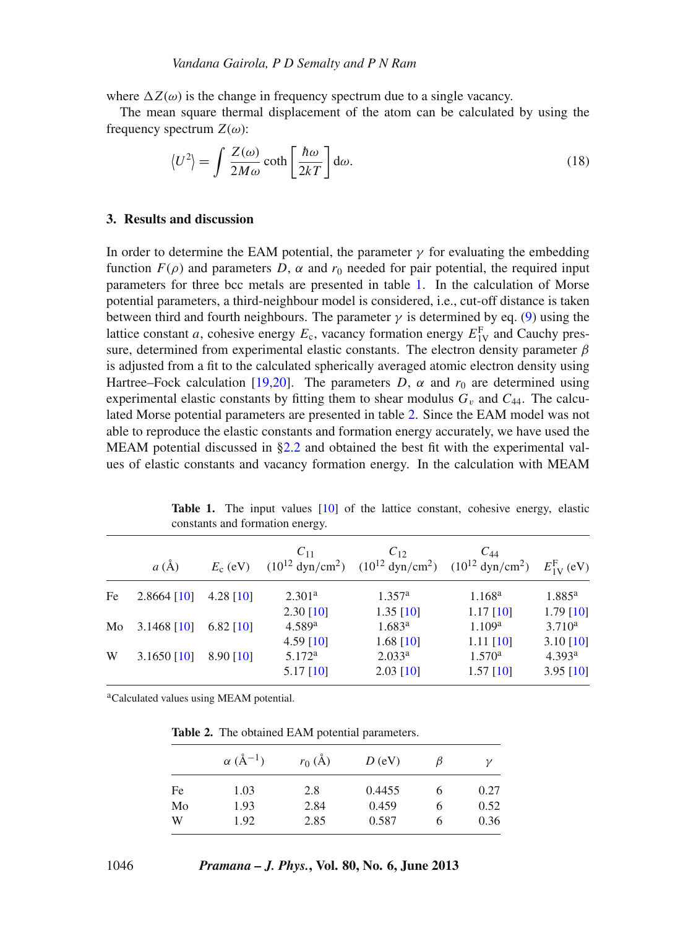where  $\Delta Z(\omega)$  is the change in frequency spectrum due to a single vacancy.

The mean square thermal displacement of the atom can be calculated by using the frequency spectrum  $Z(\omega)$ :

$$
\langle U^2 \rangle = \int \frac{Z(\omega)}{2M\omega} \coth\left[\frac{\hbar\omega}{2kT}\right] d\omega.
$$
 (18)

# **3. Results and discussion**

In order to determine the EAM potential, the parameter  $\gamma$  for evaluating the embedding function  $F(\rho)$  and parameters *D*,  $\alpha$  and  $r_0$  needed for pair potential, the required input parameters for three bcc metals are presented in table [1.](#page-5-0) In the calculation of Morse potential parameters, a third-neighbour model is considered, i.e., cut-off distance is taken between third and fourth neighbours. The parameter  $\gamma$  is determined by eq. [\(9\)](#page-3-3) using the lattice constant *a*, cohesive energy  $E_c$ , vacancy formation energy  $E_{1V}^{\text{F}}$  and Cauchy pressure, determined from experimental elastic constants. The electron density parameter  $\beta$ is adjusted from a fit to the calculated spherically averaged atomic electron density using Hartree–Fock calculation [\[19](#page-13-16)[,20\]](#page-13-17). The parameters *D*,  $\alpha$  and  $r_0$  are determined using experimental elastic constants by fitting them to shear modulus  $G_v$  and  $C_{44}$ . The calculated Morse potential parameters are presented in table [2.](#page-5-1) Since the EAM model was not able to reproduce the elastic constants and formation energy accurately, we have used the MEAM potential discussed in [§2.2](#page-3-4) and obtained the best fit with the experimental values of elastic constants and vacancy formation energy. In the calculation with MEAM

<span id="page-5-0"></span>

|    | a(A)          | $E_c$ (eV)   | $C_{11}$                                      | $C_{12}$                                         | $C_{44}$<br>$(10^{12} \text{ dyn/cm}^2)$ $(10^{12} \text{ dyn/cm}^2)$ $(10^{12} \text{ dyn/cm}^2)$ $E_{1V}^{\text{F}}$ (eV) |                                                  |
|----|---------------|--------------|-----------------------------------------------|--------------------------------------------------|-----------------------------------------------------------------------------------------------------------------------------|--------------------------------------------------|
| Fe | $2.8664$ [10] | $4.28$ [10]  | 2.301 <sup>a</sup><br>$2.30$ [10]             | $1.357^{\rm a}$<br>$1.35$ [10]                   | $1.168^{\rm a}$<br>$1.17$ [10]                                                                                              | $1.885^{a}$<br>$1.79$ [10]                       |
| Mo | $3.1468$ [10] | $6.82$ [10]  | 4.589a                                        | 1.683 <sup>a</sup>                               | 1.109 <sup>a</sup>                                                                                                          | 3.710 <sup>a</sup>                               |
| W  | $3.1650$ [10] | $8.90\,[10]$ | $4.59$ [10]<br>$5.172^{\rm a}$<br>$5.17$ [10] | $1.68$ [10]<br>2.033 <sup>a</sup><br>$2.03$ [10] | $1.11$ [10]<br>$1.570^{\rm a}$<br>$1.57$ [10]                                                                               | $3.10$ [10]<br>4.393 <sup>a</sup><br>$3.95$ [10] |

**Table 1.** The input values [\[10](#page-13-9)] of the lattice constant, cohesive energy, elastic constants and formation energy.

<span id="page-5-1"></span>aCalculated values using MEAM potential.

**Table 2.** The obtained EAM potential parameters.

|    | $\alpha$ ( $\AA^{-1}$ ) | $r_0(A)$ | $D$ (eV) |   | رد   |
|----|-------------------------|----------|----------|---|------|
| Fe | 1.03                    | 2.8      | 0.4455   |   | 0.27 |
| Mo | 1.93                    | 2.84     | 0.459    |   | 0.52 |
| W  | 1.92                    | 2.85     | 0.587    | h | 0.36 |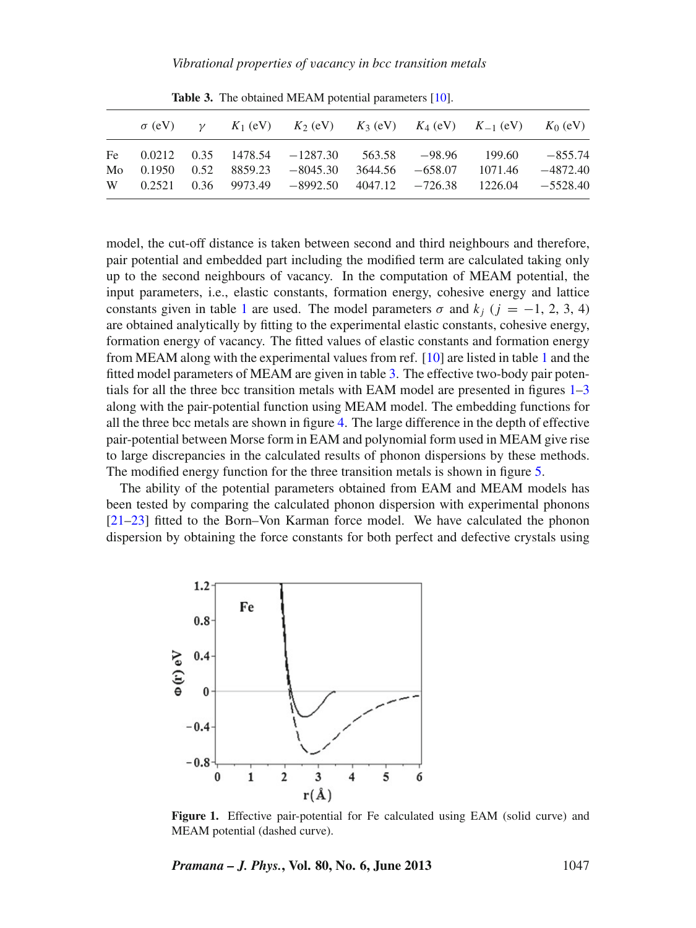<span id="page-6-0"></span>

|           |  | $\sigma$ (eV) $\gamma$ $K_1$ (eV) $K_2$ (eV) $K_3$ (eV) $K_4$ (eV) $K_{-1}$ (eV) $K_0$ (eV) |  |                         |          |
|-----------|--|---------------------------------------------------------------------------------------------|--|-------------------------|----------|
|           |  | Fe $0.0212$ $0.35$ $1478.54$ $-1287.30$ $563.58$ $-98.96$ $199.60$ $-855.74$                |  |                         |          |
| Mo 0.1950 |  | $0.52$ 8859.23 $-8045.30$                                                                   |  | 3644.56 -658.07 1071.46 | -4872.40 |
|           |  | W 0.2521 0.36 9973.49 -8992.50 4047.12 -726.38 1226.04 -5528.40                             |  |                         |          |

**Table 3.** The obtained MEAM potential parameters [\[10](#page-13-9)].

model, the cut-off distance is taken between second and third neighbours and therefore, pair potential and embedded part including the modified term are calculated taking only up to the second neighbours of vacancy. In the computation of MEAM potential, the input parameters, i.e., elastic constants, formation energy, cohesive energy and lattice constants given in table [1](#page-5-0) are used. The model parameters  $\sigma$  and  $k_i$  ( $j = -1, 2, 3, 4$ ) are obtained analytically by fitting to the experimental elastic constants, cohesive energy, formation energy of vacancy. The fitted values of elastic constants and formation energy from MEAM along with the experimental values from ref. [\[10\]](#page-13-9) are listed in table [1](#page-5-0) and the fitted model parameters of MEAM are given in table [3.](#page-6-0) The effective two-body pair potentials for all the three bcc transition metals with EAM model are presented in figures [1](#page-6-1)[–3](#page-7-0) along with the pair-potential function using MEAM model. The embedding functions for all the three bcc metals are shown in figure [4.](#page-8-0) The large difference in the depth of effective pair-potential between Morse form in EAM and polynomial form used in MEAM give rise to large discrepancies in the calculated results of phonon dispersions by these methods. The modified energy function for the three transition metals is shown in figure [5.](#page-8-1)

The ability of the potential parameters obtained from EAM and MEAM models has been tested by comparing the calculated phonon dispersion with experimental phonons [\[21](#page-13-18)[–23](#page-13-19)] fitted to the Born–Von Karman force model. We have calculated the phonon dispersion by obtaining the force constants for both perfect and defective crystals using

<span id="page-6-1"></span>

**Figure 1.** Effective pair-potential for Fe calculated using EAM (solid curve) and MEAM potential (dashed curve).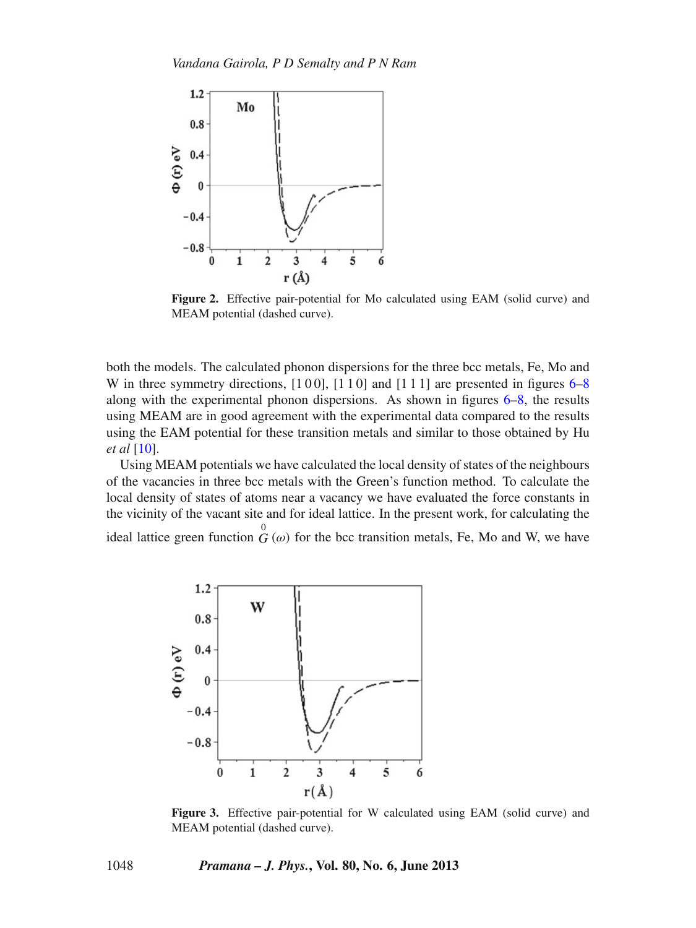

**Figure 2.** Effective pair-potential for Mo calculated using EAM (solid curve) and MEAM potential (dashed curve).

both the models. The calculated phonon dispersions for the three bcc metals, Fe, Mo and W in three symmetry directions,  $[1\ 0\ 0]$ ,  $[1\ 1\ 0]$  and  $[1\ 1\ 1]$  are presented in figures [6](#page-9-0)[–8](#page-10-0) along with the experimental phonon dispersions. As shown in figures [6](#page-9-0)[–8,](#page-10-0) the results using MEAM are in good agreement with the experimental data compared to the results using the EAM potential for these transition metals and similar to those obtained by Hu *et al* [\[10](#page-13-9)].

Using MEAM potentials we have calculated the local density of states of the neighbours of the vacancies in three bcc metals with the Green's function method. To calculate the local density of states of atoms near a vacancy we have evaluated the force constants in the vicinity of the vacant site and for ideal lattice. In the present work, for calculating the ideal lattice green function  $\stackrel{0}{G}(\omega)$  for the bcc transition metals, Fe, Mo and W, we have

<span id="page-7-0"></span>

**Figure 3.** Effective pair-potential for W calculated using EAM (solid curve) and MEAM potential (dashed curve).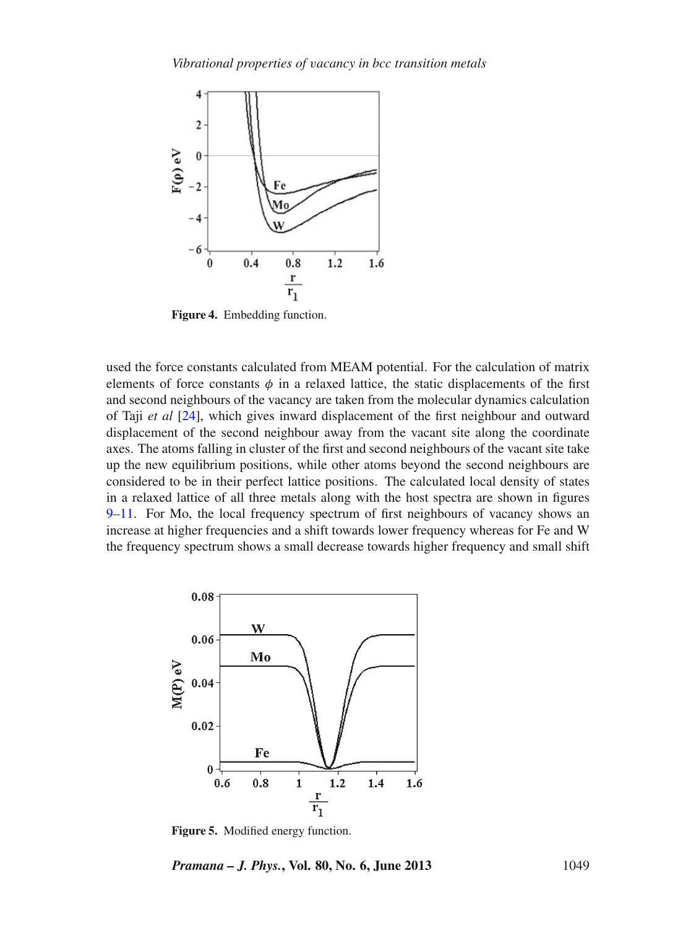<span id="page-8-0"></span>

**Figure 4.** Embedding function.

used the force constants calculated from MEAM potential. For the calculation of matrix elements of force constants  $\phi$  in a relaxed lattice, the static displacements of the first and second neighbours of the vacancy are taken from the molecular dynamics calculation of Taji *et al* [\[24](#page-13-20)], which gives inward displacement of the first neighbour and outward displacement of the second neighbour away from the vacant site along the coordinate axes. The atoms falling in cluster of the first and second neighbours of the vacant site take up the new equilibrium positions, while other atoms beyond the second neighbours are considered to be in their perfect lattice positions. The calculated local density of states in a relaxed lattice of all three metals along with the host spectra are shown in figures [9–](#page-10-1)[11.](#page-11-0) For Mo, the local frequency spectrum of first neighbours of vacancy shows an increase at higher frequencies and a shift towards lower frequency whereas for Fe and W the frequency spectrum shows a small decrease towards higher frequency and small shift

<span id="page-8-1"></span>

**Figure 5.** Modified energy function.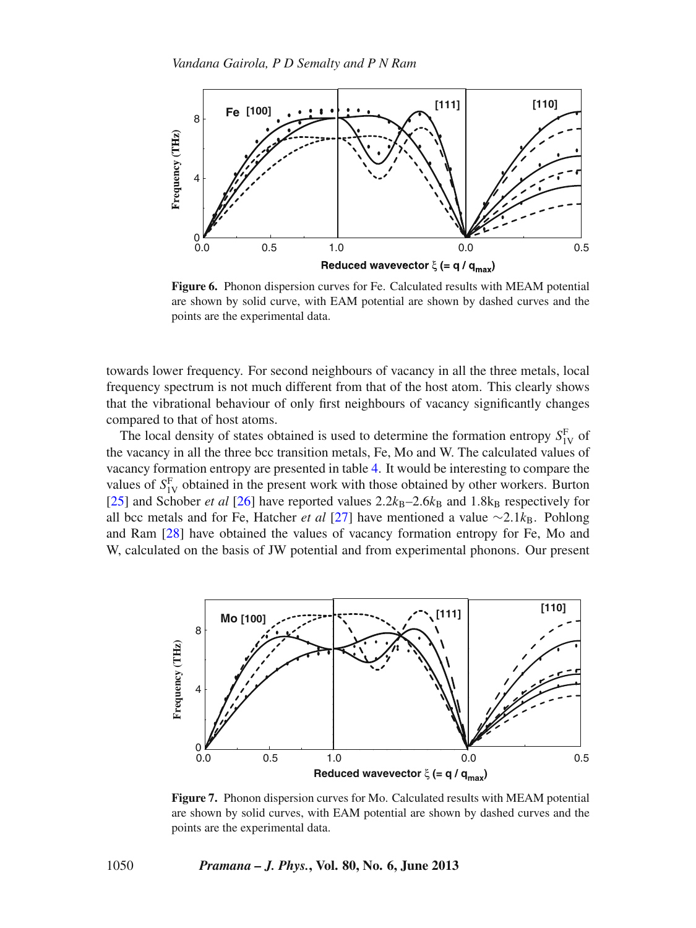<span id="page-9-0"></span>

**Figure 6.** Phonon dispersion curves for Fe. Calculated results with MEAM potential are shown by solid curve, with EAM potential are shown by dashed curves and the points are the experimental data.

towards lower frequency. For second neighbours of vacancy in all the three metals, local frequency spectrum is not much different from that of the host atom. This clearly shows that the vibrational behaviour of only first neighbours of vacancy significantly changes compared to that of host atoms.

The local density of states obtained is used to determine the formation entropy  $S_{1V}^{\text{F}}$  of the vacancy in all the three bcc transition metals, Fe, Mo and W. The calculated values of vacancy formation entropy are presented in table [4.](#page-11-1) It would be interesting to compare the values of  $S_{1V}^{\text{F}}$  obtained in the present work with those obtained by other workers. Burton [\[25](#page-13-21)] and Schober *et al* [\[26\]](#page-13-22) have reported values  $2.2k_B-2.6k_B$  and  $1.8k_B$  respectively for all bcc metals and for Fe, Hatcher *et al* [\[27](#page-13-23)] have mentioned a value ∼2.1*k*<sub>B</sub>. Pohlong and Ram [\[28\]](#page-13-24) have obtained the values of vacancy formation entropy for Fe, Mo and W, calculated on the basis of JW potential and from experimental phonons. Our present



**Figure 7.** Phonon dispersion curves for Mo. Calculated results with MEAM potential are shown by solid curves, with EAM potential are shown by dashed curves and the points are the experimental data.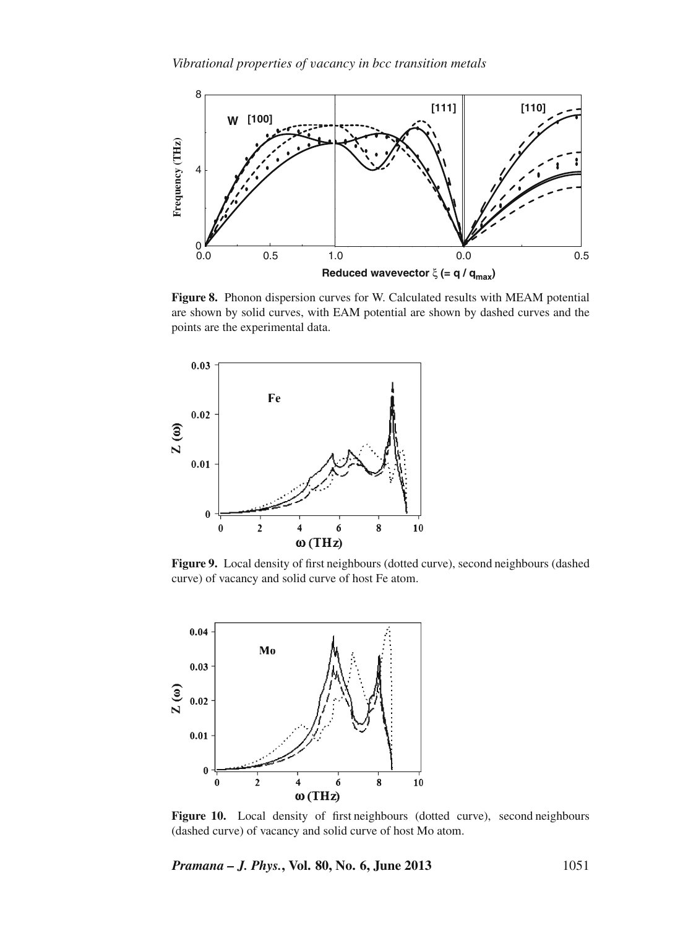<span id="page-10-0"></span>

**Figure 8.** Phonon dispersion curves for W. Calculated results with MEAM potential are shown by solid curves, with EAM potential are shown by dashed curves and the points are the experimental data.

<span id="page-10-1"></span>

**Figure 9.** Local density of first neighbours (dotted curve), second neighbours (dashed curve) of vacancy and solid curve of host Fe atom.



Figure 10. Local density of first neighbours (dotted curve), second neighbours (dashed curve) of vacancy and solid curve of host Mo atom.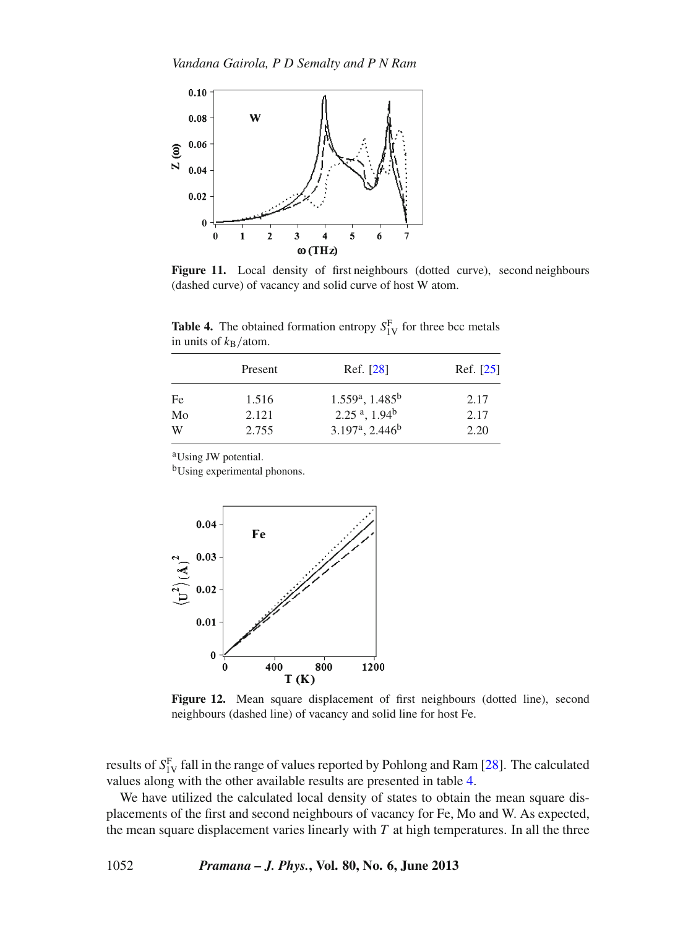<span id="page-11-0"></span>

Figure 11. Local density of first neighbours (dotted curve), second neighbours (dashed curve) of vacancy and solid curve of host W atom.

**Table 4.** The obtained formation entropy  $S_{1V}^{\text{F}}$  for three bcc metals in units of  $k_B$ /atom.

<span id="page-11-1"></span>

|    | Present | Ref. [28]                         | Ref. [25] |
|----|---------|-----------------------------------|-----------|
| Fe | 1.516   | $1.559^{\rm a}$ , $1.485^{\rm b}$ | 2.17      |
| Mo | 2.121   | $2.25^{a}$ , 1.94 <sup>b</sup>    | 2.17      |
| W  | 2.755   | $3.197^a$ , 2.446 <sup>b</sup>    | 2.20      |

aUsing JW potential.

bUsing experimental phonons.

<span id="page-11-2"></span>

Figure 12. Mean square displacement of first neighbours (dotted line), second neighbours (dashed line) of vacancy and solid line for host Fe.

results of  $S_{1V}^{\rm F}$  fall in the range of values reported by Pohlong and Ram [\[28\]](#page-13-24). The calculated values along with the other available results are presented in table [4.](#page-11-1)

We have utilized the calculated local density of states to obtain the mean square displacements of the first and second neighbours of vacancy for Fe, Mo and W. As expected, the mean square displacement varies linearly with *T* at high temperatures. In all the three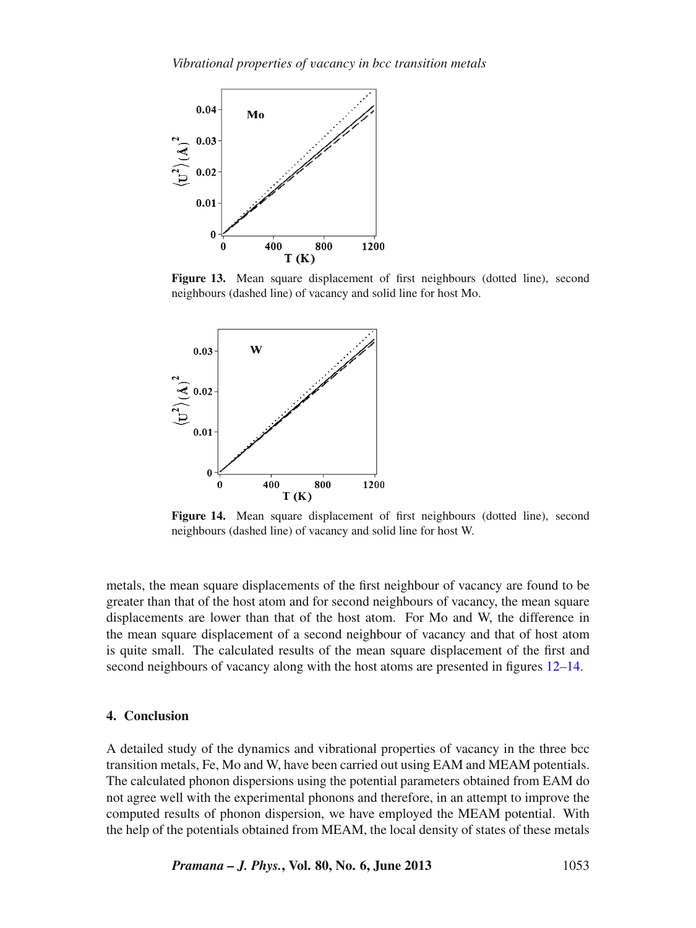

**Figure 13.** Mean square displacement of first neighbours (dotted line), second neighbours (dashed line) of vacancy and solid line for host Mo.

<span id="page-12-0"></span>

**Figure 14.** Mean square displacement of first neighbours (dotted line), second neighbours (dashed line) of vacancy and solid line for host W.

metals, the mean square displacements of the first neighbour of vacancy are found to be greater than that of the host atom and for second neighbours of vacancy, the mean square displacements are lower than that of the host atom. For Mo and W, the difference in the mean square displacement of a second neighbour of vacancy and that of host atom is quite small. The calculated results of the mean square displacement of the first and second neighbours of vacancy along with the host atoms are presented in figures [12](#page-11-2)[–14.](#page-12-0)

# **4. Conclusion**

A detailed study of the dynamics and vibrational properties of vacancy in the three bcc transition metals, Fe, Mo and W, have been carried out using EAM and MEAM potentials. The calculated phonon dispersions using the potential parameters obtained from EAM do not agree well with the experimental phonons and therefore, in an attempt to improve the computed results of phonon dispersion, we have employed the MEAM potential. With the help of the potentials obtained from MEAM, the local density of states of these metals